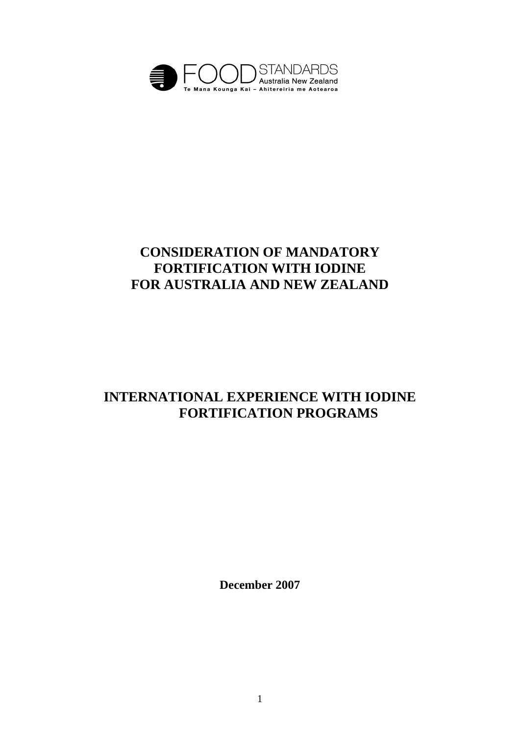

# **CONSIDERATION OF MANDATORY FORTIFICATION WITH IODINE FOR AUSTRALIA AND NEW ZEALAND**

# **INTERNATIONAL EXPERIENCE WITH IODINE FORTIFICATION PROGRAMS**

**December 2007**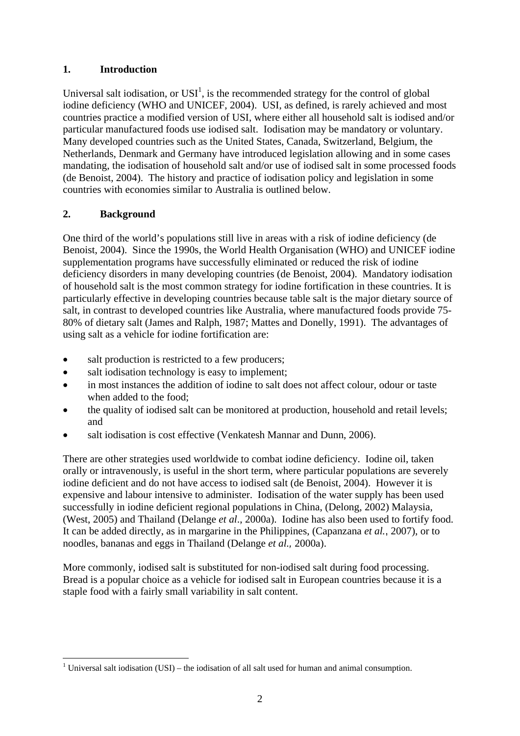# **1. Introduction**

Universal salt iodisation, or  $USI<sup>1</sup>$ , is the recommended strategy for the control of global iodine deficiency (WHO and UNICEF, 2004). USI, as defined, is rarely achieved and most countries practice a modified version of USI, where either all household salt is iodised and/or particular manufactured foods use iodised salt. Iodisation may be mandatory or voluntary. Many developed countries such as the United States, Canada, Switzerland, Belgium, the Netherlands, Denmark and Germany have introduced legislation allowing and in some cases mandating, the iodisation of household salt and/or use of iodised salt in some processed foods (de Benoist, 2004). The history and practice of iodisation policy and legislation in some countries with economies similar to Australia is outlined below.

# **2. Background**

One third of the world's populations still live in areas with a risk of iodine deficiency (de Benoist, 2004). Since the 1990s, the World Health Organisation (WHO) and UNICEF iodine supplementation programs have successfully eliminated or reduced the risk of iodine deficiency disorders in many developing countries (de Benoist, 2004). Mandatory iodisation of household salt is the most common strategy for iodine fortification in these countries. It is particularly effective in developing countries because table salt is the major dietary source of salt, in contrast to developed countries like Australia, where manufactured foods provide 75- 80% of dietary salt (James and Ralph, 1987; Mattes and Donelly, 1991). The advantages of using salt as a vehicle for iodine fortification are:

- salt production is restricted to a few producers;
- salt iodisation technology is easy to implement;
- in most instances the addition of iodine to salt does not affect colour, odour or taste when added to the food;
- the quality of iodised salt can be monitored at production, household and retail levels; and
- salt iodisation is cost effective (Venkatesh Mannar and Dunn, 2006).

There are other strategies used worldwide to combat iodine deficiency. Iodine oil, taken orally or intravenously, is useful in the short term, where particular populations are severely iodine deficient and do not have access to iodised salt (de Benoist, 2004). However it is expensive and labour intensive to administer. Iodisation of the water supply has been used successfully in iodine deficient regional populations in China, (Delong, 2002) Malaysia, (West, 2005) and Thailand (Delange *et al*., 2000a). Iodine has also been used to fortify food. It can be added directly, as in margarine in the Philippines, (Capanzana *et al.*, 2007), or to noodles, bananas and eggs in Thailand (Delange *et al.,* 2000a).

More commonly, iodised salt is substituted for non-iodised salt during food processing. Bread is a popular choice as a vehicle for iodised salt in European countries because it is a staple food with a fairly small variability in salt content.

<sup>1</sup> <sup>1</sup> Universal salt iodisation (USI) – the iodisation of all salt used for human and animal consumption.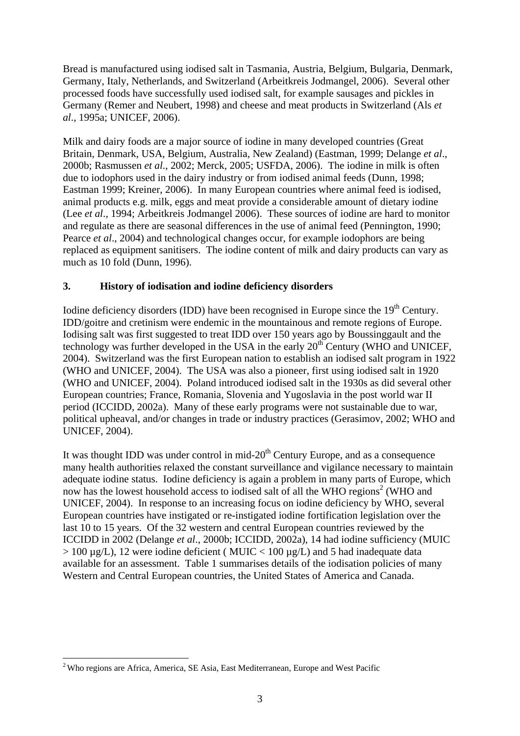Bread is manufactured using iodised salt in Tasmania, Austria, Belgium, Bulgaria, Denmark, Germany, Italy, Netherlands, and Switzerland (Arbeitkreis Jodmangel, 2006). Several other processed foods have successfully used iodised salt, for example sausages and pickles in Germany (Remer and Neubert, 1998) and cheese and meat products in Switzerland (Als *et al*., 1995a; UNICEF, 2006).

Milk and dairy foods are a major source of iodine in many developed countries (Great Britain, Denmark, USA, Belgium, Australia, New Zealand) (Eastman, 1999; Delange *et al*., 2000b; Rasmussen *et al*., 2002; Merck, 2005; USFDA, 2006). The iodine in milk is often due to iodophors used in the dairy industry or from iodised animal feeds (Dunn, 1998; Eastman 1999; Kreiner, 2006). In many European countries where animal feed is iodised, animal products e.g. milk, eggs and meat provide a considerable amount of dietary iodine (Lee *et al*., 1994; Arbeitkreis Jodmangel 2006). These sources of iodine are hard to monitor and regulate as there are seasonal differences in the use of animal feed (Pennington, 1990; Pearce *et al*., 2004) and technological changes occur, for example iodophors are being replaced as equipment sanitisers. The iodine content of milk and dairy products can vary as much as 10 fold (Dunn, 1996).

#### **3. History of iodisation and iodine deficiency disorders**

Iodine deficiency disorders (IDD) have been recognised in Europe since the  $19<sup>th</sup>$  Century. IDD/goitre and cretinism were endemic in the mountainous and remote regions of Europe. Iodising salt was first suggested to treat IDD over 150 years ago by Boussinggault and the technology was further developed in the USA in the early  $20<sup>th</sup>$  Century (WHO and UNICEF, 2004). Switzerland was the first European nation to establish an iodised salt program in 1922 (WHO and UNICEF, 2004). The USA was also a pioneer, first using iodised salt in 1920 (WHO and UNICEF, 2004). Poland introduced iodised salt in the 1930s as did several other European countries; France, Romania, Slovenia and Yugoslavia in the post world war II period (ICCIDD, 2002a). Many of these early programs were not sustainable due to war, political upheaval, and/or changes in trade or industry practices (Gerasimov, 2002; WHO and UNICEF, 2004).

It was thought IDD was under control in mid- $20<sup>th</sup>$  Century Europe, and as a consequence many health authorities relaxed the constant surveillance and vigilance necessary to maintain adequate iodine status. Iodine deficiency is again a problem in many parts of Europe, which now has the lowest household access to iodised salt of all the WHO regions<sup>2</sup> (WHO and UNICEF, 2004). In response to an increasing focus on iodine deficiency by WHO, several European countries have instigated or re-instigated iodine fortification legislation over the last 10 to 15 years. Of the 32 western and central European countries reviewed by the ICCIDD in 2002 (Delange *et al*., 2000b; ICCIDD, 2002a), 14 had iodine sufficiency (MUIC  $> 100 \text{ µg/L}$ ), 12 were iodine deficient (MUIC < 100  $\text{µg/L}$ ) and 5 had inadequate data available for an assessment. Table 1 summarises details of the iodisation policies of many Western and Central European countries, the United States of America and Canada.

1

 $2$  Who regions are Africa, America, SE Asia, East Mediterranean, Europe and West Pacific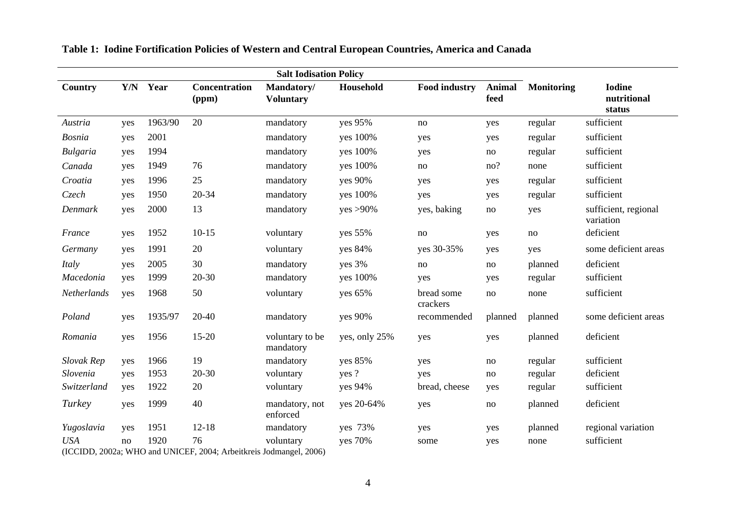| <b>Salt Iodisation Policy</b> |     |          |                                                                           |                                |               |                        |                       |                   |                                        |
|-------------------------------|-----|----------|---------------------------------------------------------------------------|--------------------------------|---------------|------------------------|-----------------------|-------------------|----------------------------------------|
| Country                       |     | Y/N Year | Concentration<br>(ppm)                                                    | Mandatory/<br><b>Voluntary</b> | Household     | <b>Food industry</b>   | <b>Animal</b><br>feed | <b>Monitoring</b> | <b>Iodine</b><br>nutritional<br>status |
| Austria                       | yes | 1963/90  | 20                                                                        | mandatory                      | yes 95%       | no                     | yes                   | regular           | sufficient                             |
| <b>Bosnia</b>                 | yes | 2001     |                                                                           | mandatory                      | yes 100%      | yes                    | yes                   | regular           | sufficient                             |
| <b>Bulgaria</b>               | yes | 1994     |                                                                           | mandatory                      | yes 100%      | yes                    | no                    | regular           | sufficient                             |
| Canada                        | yes | 1949     | 76                                                                        | mandatory                      | yes 100%      | no                     | no?                   | none              | sufficient                             |
| Croatia                       | yes | 1996     | 25                                                                        | mandatory                      | yes 90%       | yes                    | yes                   | regular           | sufficient                             |
| Czech                         | yes | 1950     | 20-34                                                                     | mandatory                      | yes 100%      | yes                    | yes                   | regular           | sufficient                             |
| Denmark                       | yes | 2000     | 13                                                                        | mandatory                      | $yes > 90\%$  | yes, baking            | $\rm no$              | yes               | sufficient, regional<br>variation      |
| France                        | yes | 1952     | $10-15$                                                                   | voluntary                      | yes 55%       | no                     | yes                   | no                | deficient                              |
| Germany                       | yes | 1991     | 20                                                                        | voluntary                      | yes 84%       | yes 30-35%             | yes                   | yes               | some deficient areas                   |
| Italy                         | yes | 2005     | 30                                                                        | mandatory                      | yes 3%        | no                     | no                    | planned           | deficient                              |
| Macedonia                     | yes | 1999     | $20 - 30$                                                                 | mandatory                      | yes 100%      | yes                    | yes                   | regular           | sufficient                             |
| Netherlands                   | yes | 1968     | 50                                                                        | voluntary                      | yes 65%       | bread some<br>crackers | no                    | none              | sufficient                             |
| Poland                        | yes | 1935/97  | 20-40                                                                     | mandatory                      | yes 90%       | recommended            | planned               | planned           | some deficient areas                   |
| Romania                       | yes | 1956     | $15-20$                                                                   | voluntary to be<br>mandatory   | yes, only 25% | yes                    | yes                   | planned           | deficient                              |
| Slovak Rep                    | yes | 1966     | 19                                                                        | mandatory                      | yes 85%       | yes                    | no                    | regular           | sufficient                             |
| Slovenia                      | yes | 1953     | $20 - 30$                                                                 | voluntary                      | yes?          | yes                    | no                    | regular           | deficient                              |
| Switzerland                   | yes | 1922     | 20                                                                        | voluntary                      | yes 94%       | bread, cheese          | yes                   | regular           | sufficient                             |
| Turkey                        | yes | 1999     | 40                                                                        | mandatory, not<br>enforced     | yes 20-64%    | yes                    | no                    | planned           | deficient                              |
| Yugoslavia                    | yes | 1951     | $12 - 18$                                                                 | mandatory                      | yes 73%       | yes                    | yes                   | planned           | regional variation                     |
| <b>USA</b>                    | no  | 1920     | 76<br>$(ICCIDD, 2002a; WHO, and INITER, 2004; ArbeitsE, Iodmancal, 2006)$ | voluntary                      | yes 70%       | some                   | yes                   | none              | sufficient                             |

# **Table 1: Iodine Fortification Policies of Western and Central European Countries, America and Canada**

(ICCIDD, 2002a; WHO and UNICEF, 2004; Arbeitkreis Jodmangel, 2006)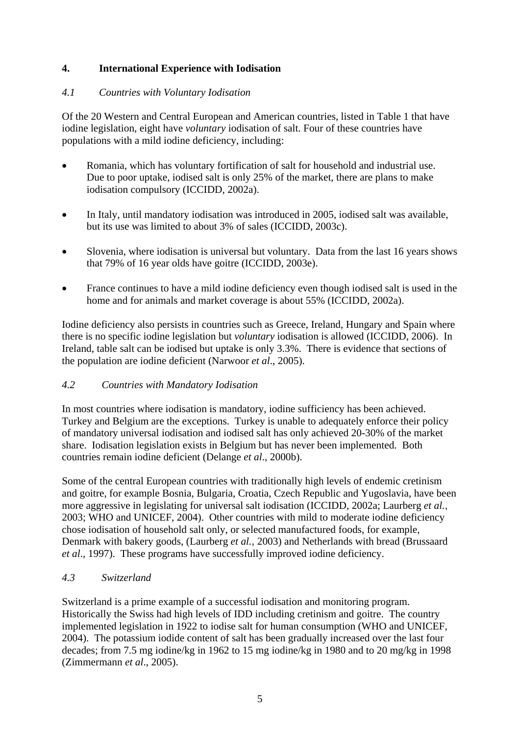# **4. International Experience with Iodisation**

#### *4.1 Countries with Voluntary Iodisation*

Of the 20 Western and Central European and American countries, listed in Table 1 that have iodine legislation, eight have *voluntary* iodisation of salt. Four of these countries have populations with a mild iodine deficiency, including:

- Romania, which has voluntary fortification of salt for household and industrial use. Due to poor uptake, iodised salt is only 25% of the market, there are plans to make iodisation compulsory (ICCIDD, 2002a).
- In Italy, until mandatory iodisation was introduced in 2005, iodised salt was available, but its use was limited to about 3% of sales (ICCIDD, 2003c).
- Slovenia, where iodisation is universal but voluntary. Data from the last 16 years shows that 79% of 16 year olds have goitre (ICCIDD, 2003e).
- France continues to have a mild iodine deficiency even though iodised salt is used in the home and for animals and market coverage is about 55% (ICCIDD, 2002a).

Iodine deficiency also persists in countries such as Greece, Ireland, Hungary and Spain where there is no specific iodine legislation but *voluntary* iodisation is allowed (ICCIDD, 2006). In Ireland, table salt can be iodised but uptake is only 3.3%. There is evidence that sections of the population are iodine deficient (Narwoor *et al*., 2005).

#### *4.2 Countries with Mandatory Iodisation*

In most countries where iodisation is mandatory, iodine sufficiency has been achieved. Turkey and Belgium are the exceptions. Turkey is unable to adequately enforce their policy of mandatory universal iodisation and iodised salt has only achieved 20-30% of the market share. Iodisation legislation exists in Belgium but has never been implemented. Both countries remain iodine deficient (Delange *et al*., 2000b).

Some of the central European countries with traditionally high levels of endemic cretinism and goitre, for example Bosnia, Bulgaria, Croatia, Czech Republic and Yugoslavia, have been more aggressive in legislating for universal salt iodisation (ICCIDD, 2002a; Laurberg *et al.*, 2003; WHO and UNICEF, 2004). Other countries with mild to moderate iodine deficiency chose iodisation of household salt only, or selected manufactured foods, for example, Denmark with bakery goods, (Laurberg *et al.*, 2003) and Netherlands with bread (Brussaard *et al*., 1997). These programs have successfully improved iodine deficiency.

#### *4.3 Switzerland*

Switzerland is a prime example of a successful iodisation and monitoring program. Historically the Swiss had high levels of IDD including cretinism and goitre. The country implemented legislation in 1922 to iodise salt for human consumption (WHO and UNICEF, 2004). The potassium iodide content of salt has been gradually increased over the last four decades; from 7.5 mg iodine/kg in 1962 to 15 mg iodine/kg in 1980 and to 20 mg/kg in 1998 (Zimmermann *et al*., 2005).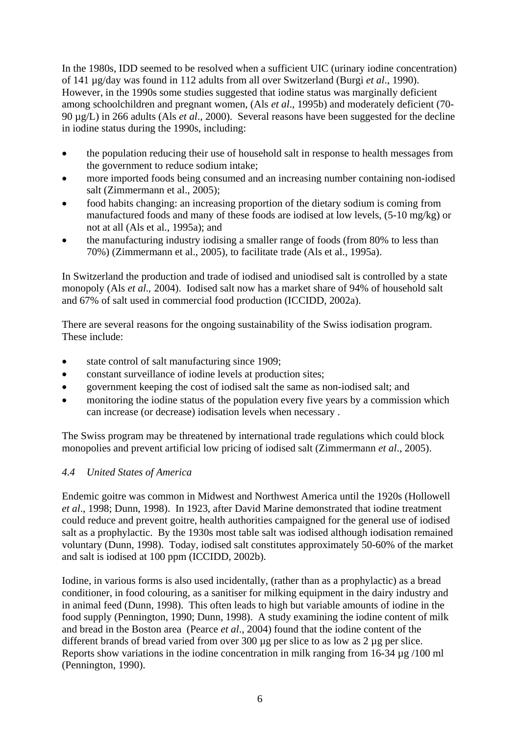In the 1980s, IDD seemed to be resolved when a sufficient UIC (urinary iodine concentration) of 141 µg/day was found in 112 adults from all over Switzerland (Burgi *et al*., 1990). However, in the 1990s some studies suggested that iodine status was marginally deficient among schoolchildren and pregnant women, (Als *et al*., 1995b) and moderately deficient (70- 90 µg/L) in 266 adults (Als *et al*., 2000). Several reasons have been suggested for the decline in iodine status during the 1990s, including:

- the population reducing their use of household salt in response to health messages from the government to reduce sodium intake;
- more imported foods being consumed and an increasing number containing non-iodised salt (Zimmermann et al., 2005);
- food habits changing: an increasing proportion of the dietary sodium is coming from manufactured foods and many of these foods are iodised at low levels, (5-10 mg/kg) or not at all (Als et al., 1995a); and
- the manufacturing industry iodising a smaller range of foods (from 80% to less than 70%) (Zimmermann et al., 2005), to facilitate trade (Als et al., 1995a).

In Switzerland the production and trade of iodised and uniodised salt is controlled by a state monopoly (Als *et al.,* 2004). Iodised salt now has a market share of 94% of household salt and 67% of salt used in commercial food production (ICCIDD, 2002a).

There are several reasons for the ongoing sustainability of the Swiss iodisation program. These include:

- state control of salt manufacturing since 1909;
- constant surveillance of iodine levels at production sites:
- government keeping the cost of iodised salt the same as non-iodised salt; and
- monitoring the iodine status of the population every five years by a commission which can increase (or decrease) iodisation levels when necessary .

The Swiss program may be threatened by international trade regulations which could block monopolies and prevent artificial low pricing of iodised salt (Zimmermann *et al*., 2005).

#### *4.4 United States of America*

Endemic goitre was common in Midwest and Northwest America until the 1920s (Hollowell *et al*., 1998; Dunn, 1998). In 1923, after David Marine demonstrated that iodine treatment could reduce and prevent goitre, health authorities campaigned for the general use of iodised salt as a prophylactic. By the 1930s most table salt was iodised although iodisation remained voluntary (Dunn, 1998). Today, iodised salt constitutes approximately 50-60% of the market and salt is iodised at 100 ppm (ICCIDD, 2002b).

Iodine, in various forms is also used incidentally, (rather than as a prophylactic) as a bread conditioner, in food colouring, as a sanitiser for milking equipment in the dairy industry and in animal feed (Dunn, 1998). This often leads to high but variable amounts of iodine in the food supply (Pennington, 1990; Dunn, 1998).A study examining the iodine content of milk and bread in the Boston area (Pearce *et al*., 2004) found that the iodine content of the different brands of bread varied from over 300 µg per slice to as low as 2 µg per slice. Reports show variations in the iodine concentration in milk ranging from 16-34  $\mu$ g /100 ml (Pennington, 1990).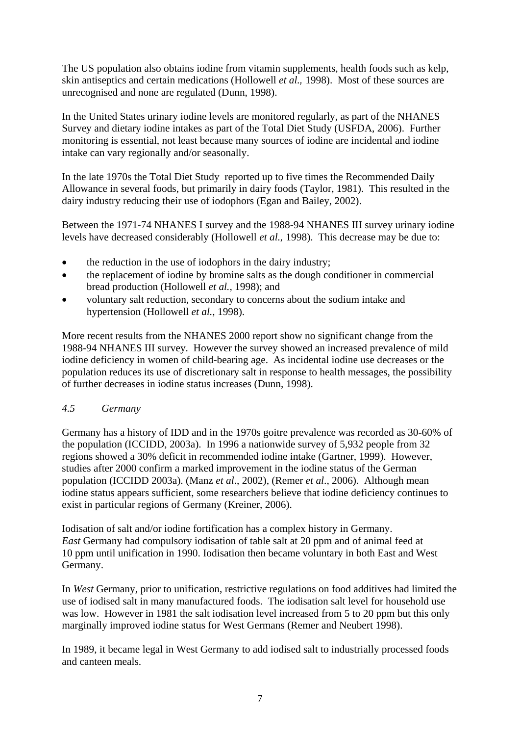The US population also obtains iodine from vitamin supplements, health foods such as kelp, skin antiseptics and certain medications (Hollowell *et al.,* 1998).Most of these sources are unrecognised and none are regulated (Dunn, 1998).

In the United States urinary iodine levels are monitored regularly, as part of the NHANES Survey and dietary iodine intakes as part of the Total Diet Study (USFDA, 2006). Further monitoring is essential, not least because many sources of iodine are incidental and iodine intake can vary regionally and/or seasonally.

In the late 1970s the Total Diet Study reported up to five times the Recommended Daily Allowance in several foods, but primarily in dairy foods (Taylor, 1981). This resulted in the dairy industry reducing their use of iodophors (Egan and Bailey, 2002).

Between the 1971-74 NHANES I survey and the 1988-94 NHANES III survey urinary iodine levels have decreased considerably (Hollowell *et al.,* 1998). This decrease may be due to:

- the reduction in the use of iodophors in the dairy industry;
- the replacement of iodine by bromine salts as the dough conditioner in commercial bread production (Hollowell *et al.,* 1998); and
- voluntary salt reduction, secondary to concerns about the sodium intake and hypertension (Hollowell *et al.,* 1998).

More recent results from the NHANES 2000 report show no significant change from the 1988-94 NHANES III survey. However the survey showed an increased prevalence of mild iodine deficiency in women of child-bearing age. As incidental iodine use decreases or the population reduces its use of discretionary salt in response to health messages, the possibility of further decreases in iodine status increases (Dunn, 1998).

#### *4.5 Germany*

Germany has a history of IDD and in the 1970s goitre prevalence was recorded as 30-60% of the population (ICCIDD, 2003a). In 1996 a nationwide survey of 5,932 people from 32 regions showed a 30% deficit in recommended iodine intake (Gartner, 1999). However, studies after 2000 confirm a marked improvement in the iodine status of the German population (ICCIDD 2003a). (Manz *et al*., 2002), (Remer *et al*., 2006). Although mean iodine status appears sufficient, some researchers believe that iodine deficiency continues to exist in particular regions of Germany (Kreiner, 2006).

Iodisation of salt and/or iodine fortification has a complex history in Germany. *East* Germany had compulsory iodisation of table salt at 20 ppm and of animal feed at 10 ppm until unification in 1990. Iodisation then became voluntary in both East and West Germany.

In *West* Germany, prior to unification, restrictive regulations on food additives had limited the use of iodised salt in many manufactured foods. The iodisation salt level for household use was low. However in 1981 the salt iodisation level increased from 5 to 20 ppm but this only marginally improved iodine status for West Germans (Remer and Neubert 1998).

In 1989, it became legal in West Germany to add iodised salt to industrially processed foods and canteen meals.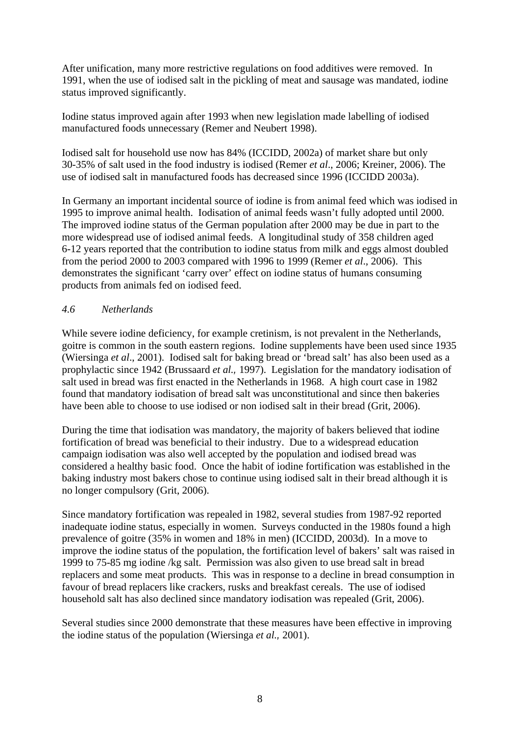After unification, many more restrictive regulations on food additives were removed. In 1991, when the use of iodised salt in the pickling of meat and sausage was mandated, iodine status improved significantly.

Iodine status improved again after 1993 when new legislation made labelling of iodised manufactured foods unnecessary (Remer and Neubert 1998).

Iodised salt for household use now has 84% (ICCIDD, 2002a) of market share but only 30-35% of salt used in the food industry is iodised (Remer *et al*., 2006; Kreiner, 2006). The use of iodised salt in manufactured foods has decreased since 1996 (ICCIDD 2003a).

In Germany an important incidental source of iodine is from animal feed which was iodised in 1995 to improve animal health. Iodisation of animal feeds wasn't fully adopted until 2000. The improved iodine status of the German population after 2000 may be due in part to the more widespread use of iodised animal feeds. A longitudinal study of 358 children aged 6-12 years reported that the contribution to iodine status from milk and eggs almost doubled from the period 2000 to 2003 compared with 1996 to 1999 (Remer *et al*., 2006). This demonstrates the significant 'carry over' effect on iodine status of humans consuming products from animals fed on iodised feed.

#### *4.6 Netherlands*

While severe iodine deficiency, for example cretinism, is not prevalent in the Netherlands, goitre is common in the south eastern regions. Iodine supplements have been used since 1935 (Wiersinga *et al*., 2001). Iodised salt for baking bread or 'bread salt' has also been used as a prophylactic since 1942 (Brussaard *et al.,* 1997). Legislation for the mandatory iodisation of salt used in bread was first enacted in the Netherlands in 1968. A high court case in 1982 found that mandatory iodisation of bread salt was unconstitutional and since then bakeries have been able to choose to use iodised or non iodised salt in their bread (Grit, 2006).

During the time that iodisation was mandatory, the majority of bakers believed that iodine fortification of bread was beneficial to their industry. Due to a widespread education campaign iodisation was also well accepted by the population and iodised bread was considered a healthy basic food. Once the habit of iodine fortification was established in the baking industry most bakers chose to continue using iodised salt in their bread although it is no longer compulsory (Grit, 2006).

Since mandatory fortification was repealed in 1982, several studies from 1987-92 reported inadequate iodine status, especially in women. Surveys conducted in the 1980s found a high prevalence of goitre (35% in women and 18% in men) (ICCIDD, 2003d). In a move to improve the iodine status of the population, the fortification level of bakers' salt was raised in 1999 to 75-85 mg iodine /kg salt. Permission was also given to use bread salt in bread replacers and some meat products. This was in response to a decline in bread consumption in favour of bread replacers like crackers, rusks and breakfast cereals. The use of iodised household salt has also declined since mandatory iodisation was repealed (Grit, 2006).

Several studies since 2000 demonstrate that these measures have been effective in improving the iodine status of the population (Wiersinga *et al.,* 2001).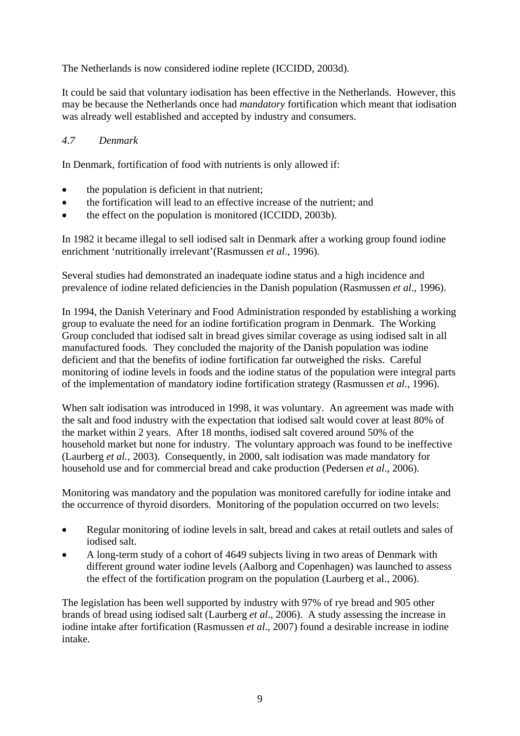The Netherlands is now considered iodine replete (ICCIDD, 2003d).

It could be said that voluntary iodisation has been effective in the Netherlands. However, this may be because the Netherlands once had *mandatory* fortification which meant that iodisation was already well established and accepted by industry and consumers.

# *4.7 Denmark*

In Denmark, fortification of food with nutrients is only allowed if:

- the population is deficient in that nutrient;
- the fortification will lead to an effective increase of the nutrient; and
- the effect on the population is monitored (ICCIDD, 2003b).

In 1982 it became illegal to sell iodised salt in Denmark after a working group found iodine enrichment 'nutritionally irrelevant'(Rasmussen *et al*., 1996).

Several studies had demonstrated an inadequate iodine status and a high incidence and prevalence of iodine related deficiencies in the Danish population (Rasmussen *et al*., 1996).

In 1994, the Danish Veterinary and Food Administration responded by establishing a working group to evaluate the need for an iodine fortification program in Denmark. The Working Group concluded that iodised salt in bread gives similar coverage as using iodised salt in all manufactured foods. They concluded the majority of the Danish population was iodine deficient and that the benefits of iodine fortification far outweighed the risks. Careful monitoring of iodine levels in foods and the iodine status of the population were integral parts of the implementation of mandatory iodine fortification strategy (Rasmussen *et al*., 1996).

When salt iodisation was introduced in 1998, it was voluntary. An agreement was made with the salt and food industry with the expectation that iodised salt would cover at least 80% of the market within 2 years. After 18 months, iodised salt covered around 50% of the household market but none for industry. The voluntary approach was found to be ineffective (Laurberg *et al.*, 2003). Consequently, in 2000, salt iodisation was made mandatory for household use and for commercial bread and cake production (Pedersen *et al*., 2006).

Monitoring was mandatory and the population was monitored carefully for iodine intake and the occurrence of thyroid disorders. Monitoring of the population occurred on two levels:

- Regular monitoring of iodine levels in salt, bread and cakes at retail outlets and sales of iodised salt.
- A long-term study of a cohort of 4649 subjects living in two areas of Denmark with different ground water iodine levels (Aalborg and Copenhagen) was launched to assess the effect of the fortification program on the population (Laurberg et al., 2006).

The legislation has been well supported by industry with 97% of rye bread and 905 other brands of bread using iodised salt (Laurberg *et al*., 2006). A study assessing the increase in iodine intake after fortification (Rasmussen *et al*., 2007) found a desirable increase in iodine intake.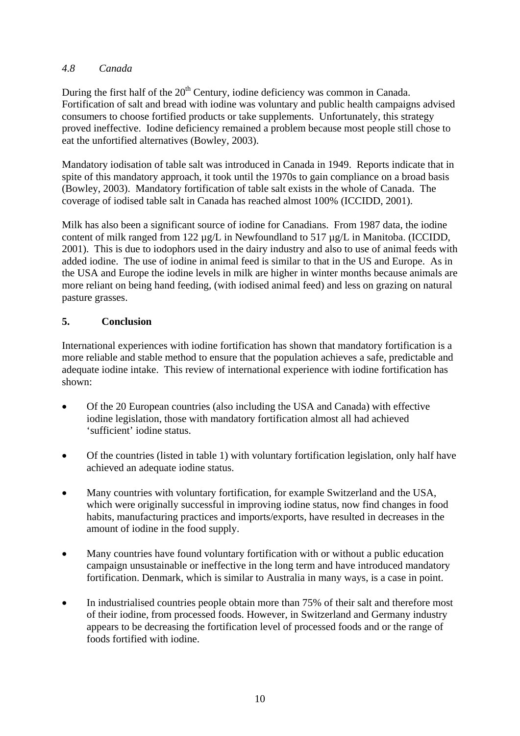#### *4.8 Canada*

During the first half of the 20<sup>th</sup> Century, iodine deficiency was common in Canada. Fortification of salt and bread with iodine was voluntary and public health campaigns advised consumers to choose fortified products or take supplements. Unfortunately, this strategy proved ineffective. Iodine deficiency remained a problem because most people still chose to eat the unfortified alternatives (Bowley, 2003).

Mandatory iodisation of table salt was introduced in Canada in 1949. Reports indicate that in spite of this mandatory approach, it took until the 1970s to gain compliance on a broad basis (Bowley, 2003). Mandatory fortification of table salt exists in the whole of Canada. The coverage of iodised table salt in Canada has reached almost 100% (ICCIDD, 2001).

Milk has also been a significant source of iodine for Canadians. From 1987 data, the iodine content of milk ranged from 122 µg/L in Newfoundland to 517 µg/L in Manitoba. (ICCIDD, 2001). This is due to iodophors used in the dairy industry and also to use of animal feeds with added iodine. The use of iodine in animal feed is similar to that in the US and Europe. As in the USA and Europe the iodine levels in milk are higher in winter months because animals are more reliant on being hand feeding, (with iodised animal feed) and less on grazing on natural pasture grasses.

### **5. Conclusion**

International experiences with iodine fortification has shown that mandatory fortification is a more reliable and stable method to ensure that the population achieves a safe, predictable and adequate iodine intake. This review of international experience with iodine fortification has shown:

- Of the 20 European countries (also including the USA and Canada) with effective iodine legislation, those with mandatory fortification almost all had achieved 'sufficient' iodine status.
- Of the countries (listed in table 1) with voluntary fortification legislation, only half have achieved an adequate iodine status.
- Many countries with voluntary fortification, for example Switzerland and the USA, which were originally successful in improving iodine status, now find changes in food habits, manufacturing practices and imports/exports, have resulted in decreases in the amount of iodine in the food supply.
- Many countries have found voluntary fortification with or without a public education campaign unsustainable or ineffective in the long term and have introduced mandatory fortification. Denmark, which is similar to Australia in many ways, is a case in point.
- In industrialised countries people obtain more than 75% of their salt and therefore most of their iodine, from processed foods. However, in Switzerland and Germany industry appears to be decreasing the fortification level of processed foods and or the range of foods fortified with iodine.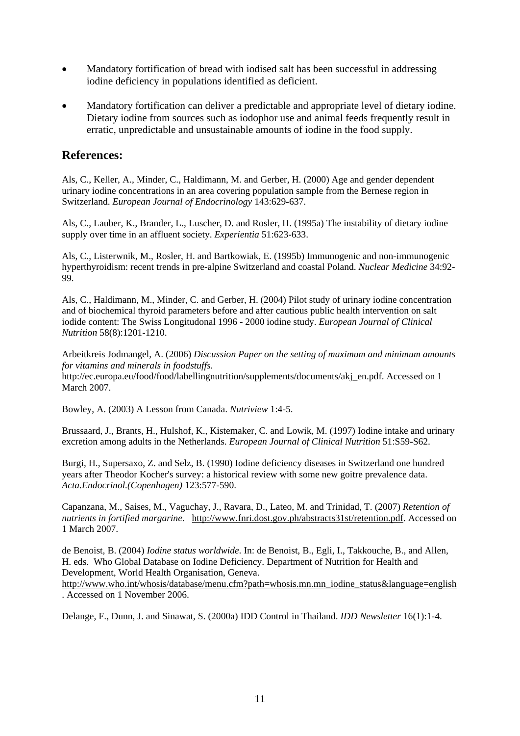- Mandatory fortification of bread with iodised salt has been successful in addressing iodine deficiency in populations identified as deficient.
- Mandatory fortification can deliver a predictable and appropriate level of dietary iodine. Dietary iodine from sources such as iodophor use and animal feeds frequently result in erratic, unpredictable and unsustainable amounts of iodine in the food supply.

#### **References:**

Als, C., Keller, A., Minder, C., Haldimann, M. and Gerber, H. (2000) Age and gender dependent urinary iodine concentrations in an area covering population sample from the Bernese region in Switzerland. *European Journal of Endocrinology* 143:629-637.

Als, C., Lauber, K., Brander, L., Luscher, D. and Rosler, H. (1995a) The instability of dietary iodine supply over time in an affluent society. *Experientia* 51:623-633.

Als, C., Listerwnik, M., Rosler, H. and Bartkowiak, E. (1995b) Immunogenic and non-immunogenic hyperthyroidism: recent trends in pre-alpine Switzerland and coastal Poland. *Nuclear Medicine* 34:92- 99.

Als, C., Haldimann, M., Minder, C. and Gerber, H. (2004) Pilot study of urinary iodine concentration and of biochemical thyroid parameters before and after cautious public health intervention on salt iodide content: The Swiss Longitudonal 1996 - 2000 iodine study. *European Journal of Clinical Nutrition* 58(8):1201-1210.

Arbeitkreis Jodmangel, A. (2006) *Discussion Paper on the setting of maximum and minimum amounts for vitamins and minerals in foodstuffs*.

http://ec.europa.eu/food/food/labellingnutrition/supplements/documents/akj\_en.pdf. Accessed on 1 March 2007.

Bowley, A. (2003) A Lesson from Canada. *Nutriview* 1:4-5.

Brussaard, J., Brants, H., Hulshof, K., Kistemaker, C. and Lowik, M. (1997) Iodine intake and urinary excretion among adults in the Netherlands. *European Journal of Clinical Nutrition* 51:S59-S62.

Burgi, H., Supersaxo, Z. and Selz, B. (1990) Iodine deficiency diseases in Switzerland one hundred years after Theodor Kocher's survey: a historical review with some new goitre prevalence data. *Acta.Endocrinol.(Copenhagen)* 123:577-590.

Capanzana, M., Saises, M., Vaguchay, J., Ravara, D., Lateo, M. and Trinidad, T. (2007) *Retention of nutrients in fortified margarine*. http://www.fnri.dost.gov.ph/abstracts31st/retention.pdf. Accessed on 1 March 2007.

de Benoist, B. (2004) *Iodine status worldwide*. In: de Benoist, B., Egli, I., Takkouche, B., and Allen, H. eds. Who Global Database on Iodine Deficiency. Department of Nutrition for Health and Development, World Health Organisation, Geneva.

http://www.who.int/whosis/database/menu.cfm?path=whosis.mn.mn\_iodine\_status&language=english . Accessed on 1 November 2006.

Delange, F., Dunn, J. and Sinawat, S. (2000a) IDD Control in Thailand. *IDD Newsletter* 16(1):1-4.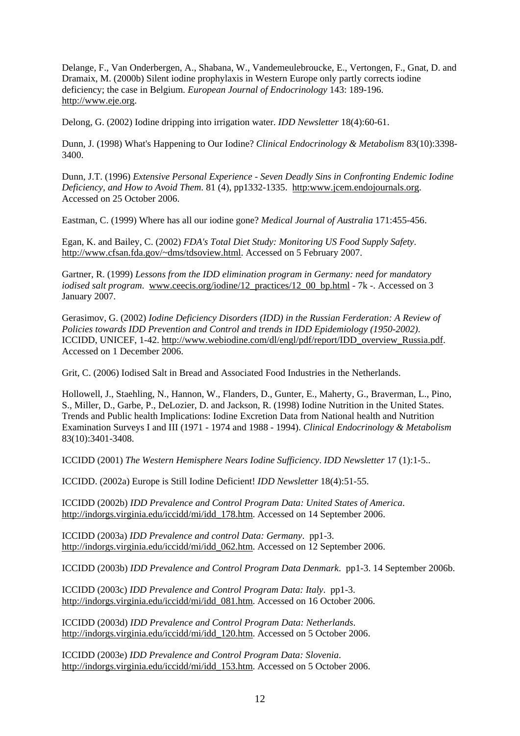Delange, F., Van Onderbergen, A., Shabana, W., Vandemeulebroucke, E., Vertongen, F., Gnat, D. and Dramaix, M. (2000b) Silent iodine prophylaxis in Western Europe only partly corrects iodine deficiency; the case in Belgium. *European Journal of Endocrinology* 143: 189-196. http://www.eje.org.

Delong, G. (2002) Iodine dripping into irrigation water. *IDD Newsletter* 18(4):60-61.

Dunn, J. (1998) What's Happening to Our Iodine? *Clinical Endocrinology & Metabolism* 83(10):3398- 3400.

Dunn, J.T. (1996) *Extensive Personal Experience - Seven Deadly Sins in Confronting Endemic Iodine Deficiency, and How to Avoid Them*. 81 (4), pp1332-1335. http:www.jcem.endojournals.org. Accessed on 25 October 2006.

Eastman, C. (1999) Where has all our iodine gone? *Medical Journal of Australia* 171:455-456.

Egan, K. and Bailey, C. (2002) *FDA's Total Diet Study: Monitoring US Food Supply Safety*. http://www.cfsan.fda.gov/~dms/tdsoview.html. Accessed on 5 February 2007.

Gartner, R. (1999) *Lessons from the IDD elimination program in Germany: need for mandatory iodised salt program*. www.ceecis.org/iodine/12\_practices/12\_00\_bp.html - 7k -. Accessed on 3 January 2007.

Gerasimov, G. (2002) *Iodine Deficiency Disorders (IDD) in the Russian Ferderation: A Review of Policies towards IDD Prevention and Control and trends in IDD Epidemiology (1950-2002)*. ICCIDD, UNICEF, 1-42. http://www.webiodine.com/dl/engl/pdf/report/IDD\_overview\_Russia.pdf. Accessed on 1 December 2006.

Grit, C. (2006) Iodised Salt in Bread and Associated Food Industries in the Netherlands.

Hollowell, J., Staehling, N., Hannon, W., Flanders, D., Gunter, E., Maherty, G., Braverman, L., Pino, S., Miller, D., Garbe, P., DeLozier, D. and Jackson, R. (1998) Iodine Nutrition in the United States. Trends and Public health Implications: Iodine Excretion Data from National health and Nutrition Examination Surveys I and III (1971 - 1974 and 1988 - 1994). *Clinical Endocrinology & Metabolism*  83(10):3401-3408.

ICCIDD (2001) *The Western Hemisphere Nears Iodine Sufficiency*. *IDD Newsletter* 17 (1):1-5..

ICCIDD. (2002a) Europe is Still Iodine Deficient! *IDD Newsletter* 18(4):51-55.

ICCIDD (2002b) *IDD Prevalence and Control Program Data: United States of America*. http://indorgs.virginia.edu/iccidd/mi/idd 178.htm. Accessed on 14 September 2006.

ICCIDD (2003a) *IDD Prevalence and control Data: Germany*. pp1-3. http://indorgs.virginia.edu/iccidd/mi/idd\_062.htm. Accessed on 12 September 2006.

ICCIDD (2003b) *IDD Prevalence and Control Program Data Denmark*. pp1-3. 14 September 2006b.

ICCIDD (2003c) *IDD Prevalence and Control Program Data: Italy*. pp1-3. http://indorgs.virginia.edu/iccidd/mi/idd 081.htm. Accessed on 16 October 2006.

ICCIDD (2003d) *IDD Prevalence and Control Program Data: Netherlands*. http://indorgs.virginia.edu/iccidd/mi/idd\_120.htm. Accessed on 5 October 2006.

ICCIDD (2003e) *IDD Prevalence and Control Program Data: Slovenia*. http://indorgs.virginia.edu/iccidd/mi/idd\_153.htm. Accessed on 5 October 2006.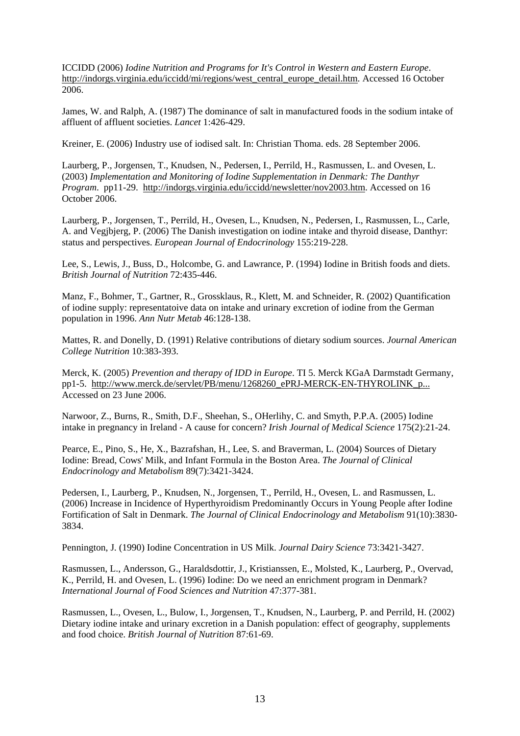ICCIDD (2006) *Iodine Nutrition and Programs for It's Control in Western and Eastern Europe*. http://indorgs.virginia.edu/iccidd/mi/regions/west\_central\_europe\_detail.htm. Accessed 16 October 2006.

James, W. and Ralph, A. (1987) The dominance of salt in manufactured foods in the sodium intake of affluent of affluent societies. *Lancet* 1:426-429.

Kreiner, E. (2006) Industry use of iodised salt. In: Christian Thoma. eds. 28 September 2006.

Laurberg, P., Jorgensen, T., Knudsen, N., Pedersen, I., Perrild, H., Rasmussen, L. and Ovesen, L. (2003) *Implementation and Monitoring of Iodine Supplementation in Denmark: The Danthyr Program*. pp11-29. http://indorgs.virginia.edu/iccidd/newsletter/nov2003.htm. Accessed on 16 October 2006.

Laurberg, P., Jorgensen, T., Perrild, H., Ovesen, L., Knudsen, N., Pedersen, I., Rasmussen, L., Carle, A. and Vegjbjerg, P. (2006) The Danish investigation on iodine intake and thyroid disease, Danthyr: status and perspectives. *European Journal of Endocrinology* 155:219-228.

Lee, S., Lewis, J., Buss, D., Holcombe, G. and Lawrance, P. (1994) Iodine in British foods and diets. *British Journal of Nutrition* 72:435-446.

Manz, F., Bohmer, T., Gartner, R., Grossklaus, R., Klett, M. and Schneider, R. (2002) Quantification of iodine supply: representatoive data on intake and urinary excretion of iodine from the German population in 1996. *Ann Nutr Metab* 46:128-138.

Mattes, R. and Donelly, D. (1991) Relative contributions of dietary sodium sources. *Journal American College Nutrition* 10:383-393.

Merck, K. (2005) *Prevention and therapy of IDD in Europe*. TI 5. Merck KGaA Darmstadt Germany, pp1-5. http://www.merck.de/servlet/PB/menu/1268260\_ePRJ-MERCK-EN-THYROLINK\_p... Accessed on 23 June 2006.

Narwoor, Z., Burns, R., Smith, D.F., Sheehan, S., OHerlihy, C. and Smyth, P.P.A. (2005) Iodine intake in pregnancy in Ireland - A cause for concern? *Irish Journal of Medical Science* 175(2):21-24.

Pearce, E., Pino, S., He, X., Bazrafshan, H., Lee, S. and Braverman, L. (2004) Sources of Dietary Iodine: Bread, Cows' Milk, and Infant Formula in the Boston Area. *The Journal of Clinical Endocrinology and Metabolism* 89(7):3421-3424.

Pedersen, I., Laurberg, P., Knudsen, N., Jorgensen, T., Perrild, H., Ovesen, L. and Rasmussen, L. (2006) Increase in Incidence of Hyperthyroidism Predominantly Occurs in Young People after Iodine Fortification of Salt in Denmark. *The Journal of Clinical Endocrinology and Metabolism* 91(10):3830- 3834.

Pennington, J. (1990) Iodine Concentration in US Milk. *Journal Dairy Science* 73:3421-3427.

Rasmussen, L., Andersson, G., Haraldsdottir, J., Kristianssen, E., Molsted, K., Laurberg, P., Overvad, K., Perrild, H. and Ovesen, L. (1996) Iodine: Do we need an enrichment program in Denmark? *International Journal of Food Sciences and Nutrition* 47:377-381.

Rasmussen, L., Ovesen, L., Bulow, I., Jorgensen, T., Knudsen, N., Laurberg, P. and Perrild, H. (2002) Dietary iodine intake and urinary excretion in a Danish population: effect of geography, supplements and food choice. *British Journal of Nutrition* 87:61-69.